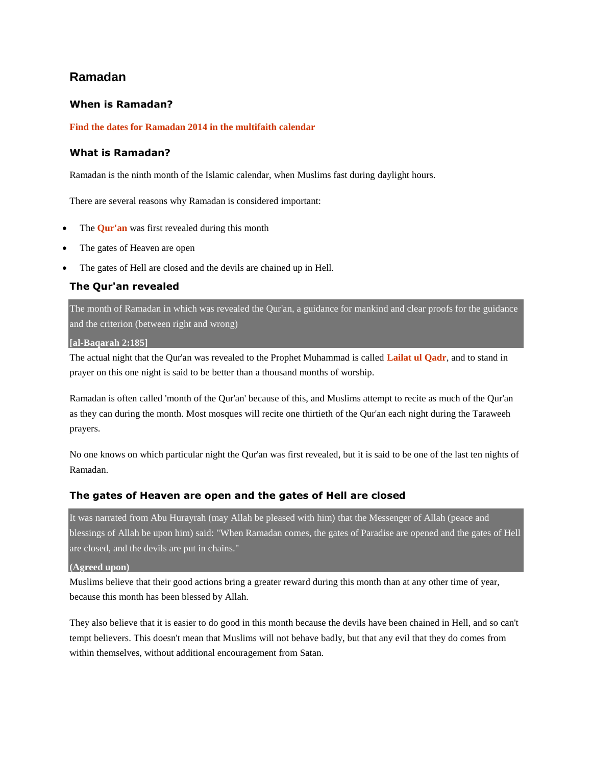## **Ramadan**

## **When is Ramadan?**

### **[Find the dates for Ramadan 2014 in the multifaith calendar](http://www.bbc.co.uk/religion/tools/calendar/faith.shtml?muslim)**

### **What is Ramadan?**

Ramadan is the ninth month of the Islamic calendar, when Muslims fast during daylight hours.

There are several reasons why Ramadan is considered important:

- The **[Qur'an](http://www.bbc.co.uk/religion/religions/islam/texts/quran_1.shtml)** was first revealed during this month
- The gates of Heaven are open
- The gates of Hell are closed and the devils are chained up in Hell.

## **The Qur'an revealed**

The month of Ramadan in which was revealed the Qur'an, a guidance for mankind and clear proofs for the guidance and the criterion (between right and wrong)

#### **[al-Baqarah 2:185]**

The actual night that the Qur'an was revealed to the Prophet Muhammad is called **[Lailat ul Qadr](http://www.bbc.co.uk/religion/religions/islam/holydays/lailatalqadr.shtml)**, and to stand in prayer on this one night is said to be better than a thousand months of worship.

Ramadan is often called 'month of the Qur'an' because of this, and Muslims attempt to recite as much of the Qur'an as they can during the month. Most mosques will recite one thirtieth of the Qur'an each night during the Taraweeh prayers.

No one knows on which particular night the Qur'an was first revealed, but it is said to be one of the last ten nights of Ramadan.

### **The gates of Heaven are open and the gates of Hell are closed**

It was narrated from Abu Hurayrah (may Allah be pleased with him) that the Messenger of Allah (peace and blessings of Allah be upon him) said: "When Ramadan comes, the gates of Paradise are opened and the gates of Hell are closed, and the devils are put in chains."

**(Agreed upon)**

Muslims believe that their good actions bring a greater reward during this month than at any other time of year, because this month has been blessed by Allah.

They also believe that it is easier to do good in this month because the devils have been chained in Hell, and so can't tempt believers. This doesn't mean that Muslims will not behave badly, but that any evil that they do comes from within themselves, without additional encouragement from Satan.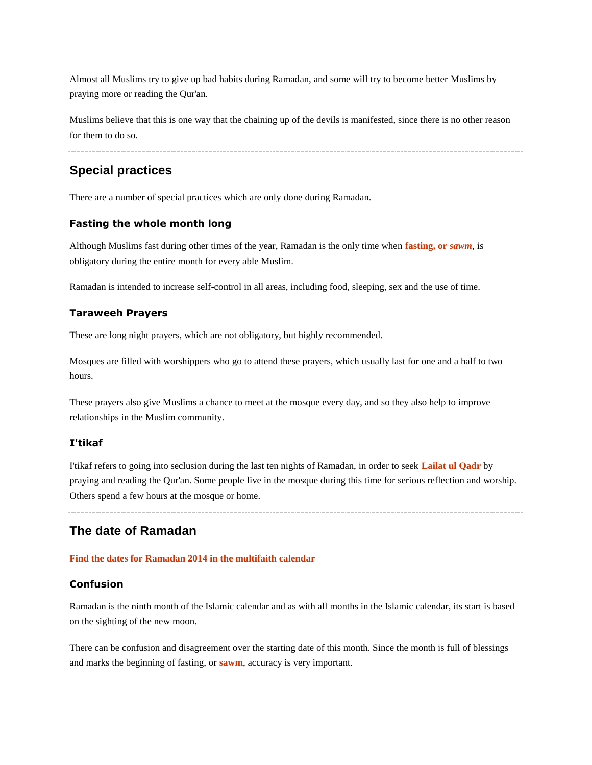Almost all Muslims try to give up bad habits during Ramadan, and some will try to become better Muslims by praying more or reading the Qur'an.

Muslims believe that this is one way that the chaining up of the devils is manifested, since there is no other reason for them to do so.

# **Special practices**

There are a number of special practices which are only done during Ramadan.

## **Fasting the whole month long**

Although Muslims fast during other times of the year, Ramadan is the only time when **[fasting, or](http://www.bbc.co.uk/religion/religions/islam/practices/sawm.shtml)** *sawm*, is obligatory during the entire month for every able Muslim.

Ramadan is intended to increase self-control in all areas, including food, sleeping, sex and the use of time.

## **Taraweeh Prayers**

These are long night prayers, which are not obligatory, but highly recommended.

Mosques are filled with worshippers who go to attend these prayers, which usually last for one and a half to two hours.

These prayers also give Muslims a chance to meet at the mosque every day, and so they also help to improve relationships in the Muslim community.

### **I'tikaf**

I'tikaf refers to going into seclusion during the last ten nights of Ramadan, in order to seek **[Lailat ul Qadr](http://www.bbc.co.uk/religion/religions/islam/holydays/lailatalqadr.shtml)** by praying and reading the Qur'an. Some people live in the mosque during this time for serious reflection and worship. Others spend a few hours at the mosque or home.

# **The date of Ramadan**

#### **[Find the dates for Ramadan 2014 in the multifaith calendar](http://www.bbc.co.uk/religion/tools/calendar/faith.shtml?muslim)**

### **Confusion**

Ramadan is the ninth month of the Islamic calendar and as with all months in the Islamic calendar, its start is based on the sighting of the new moon.

There can be confusion and disagreement over the starting date of this month. Since the month is full of blessings and marks the beginning of fasting, or **[sawm](http://www.bbc.co.uk/religion/religions/islam/practices/sawm.shtml)**, accuracy is very important.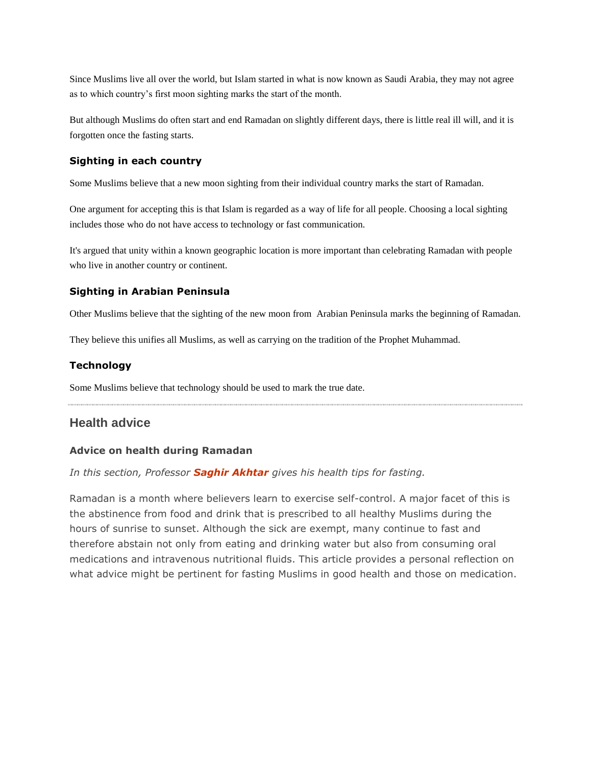Since Muslims live all over the world, but Islam started in what is now known as Saudi Arabia, they may not agree as to which country's first moon sighting marks the start of the month.

But although Muslims do often start and end Ramadan on slightly different days, there is little real ill will, and it is forgotten once the fasting starts.

### **Sighting in each country**

Some Muslims believe that a new moon sighting from their individual country marks the start of Ramadan.

One argument for accepting this is that Islam is regarded as a way of life for all people. Choosing a local sighting includes those who do not have access to technology or fast communication.

It's argued that unity within a known geographic location is more important than celebrating Ramadan with people who live in another country or continent.

## **Sighting in Arabian Peninsula**

Other Muslims believe that the sighting of the new moon from Arabian Peninsula marks the beginning of Ramadan.

They believe this unifies all Muslims, as well as carrying on the tradition of the Prophet Muhammad.

## **Technology**

Some Muslims believe that technology should be used to mark the true date.

## **Health advice**

### **Advice on health during Ramadan**

*In this section, Professor [Saghir Akhtar](http://www.bbc.co.uk/religion/biographies.shtml#saghirakhtar) gives his health tips for fasting.*

Ramadan is a month where believers learn to exercise self-control. A major facet of this is the abstinence from food and drink that is prescribed to all healthy Muslims during the hours of sunrise to sunset. Although the sick are exempt, many continue to fast and therefore abstain not only from eating and drinking water but also from consuming oral medications and intravenous nutritional fluids. This article provides a personal reflection on what advice might be pertinent for fasting Muslims in good health and those on medication.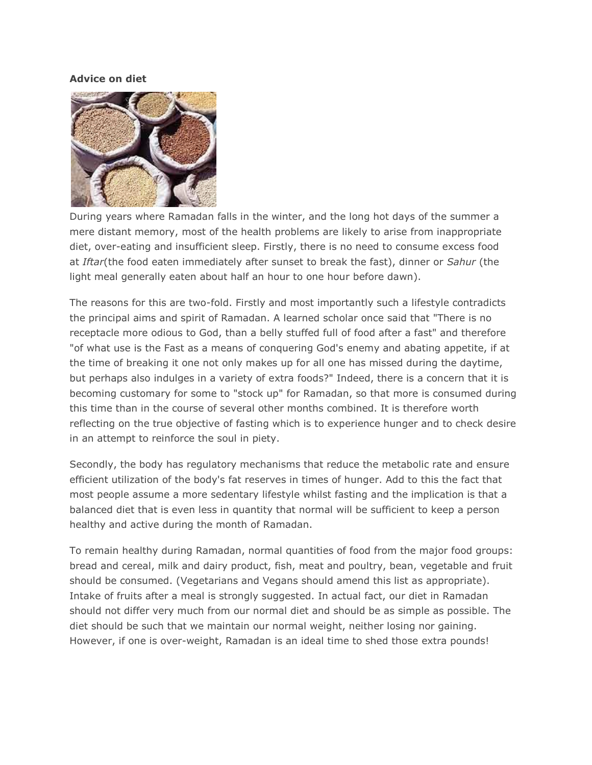## **Advice on diet**



During years where Ramadan falls in the winter, and the long hot days of the summer a mere distant memory, most of the health problems are likely to arise from inappropriate diet, over-eating and insufficient sleep. Firstly, there is no need to consume excess food at *Iftar*(the food eaten immediately after sunset to break the fast), dinner or *Sahur* (the light meal generally eaten about half an hour to one hour before dawn).

The reasons for this are two-fold. Firstly and most importantly such a lifestyle contradicts the principal aims and spirit of Ramadan. A learned scholar once said that "There is no receptacle more odious to God, than a belly stuffed full of food after a fast" and therefore "of what use is the Fast as a means of conquering God's enemy and abating appetite, if at the time of breaking it one not only makes up for all one has missed during the daytime, but perhaps also indulges in a variety of extra foods?" Indeed, there is a concern that it is becoming customary for some to "stock up" for Ramadan, so that more is consumed during this time than in the course of several other months combined. It is therefore worth reflecting on the true objective of fasting which is to experience hunger and to check desire in an attempt to reinforce the soul in piety.

Secondly, the body has regulatory mechanisms that reduce the metabolic rate and ensure efficient utilization of the body's fat reserves in times of hunger. Add to this the fact that most people assume a more sedentary lifestyle whilst fasting and the implication is that a balanced diet that is even less in quantity that normal will be sufficient to keep a person healthy and active during the month of Ramadan.

To remain healthy during Ramadan, normal quantities of food from the major food groups: bread and cereal, milk and dairy product, fish, meat and poultry, bean, vegetable and fruit should be consumed. (Vegetarians and Vegans should amend this list as appropriate). Intake of fruits after a meal is strongly suggested. In actual fact, our diet in Ramadan should not differ very much from our normal diet and should be as simple as possible. The diet should be such that we maintain our normal weight, neither losing nor gaining. However, if one is over-weight, Ramadan is an ideal time to shed those extra pounds!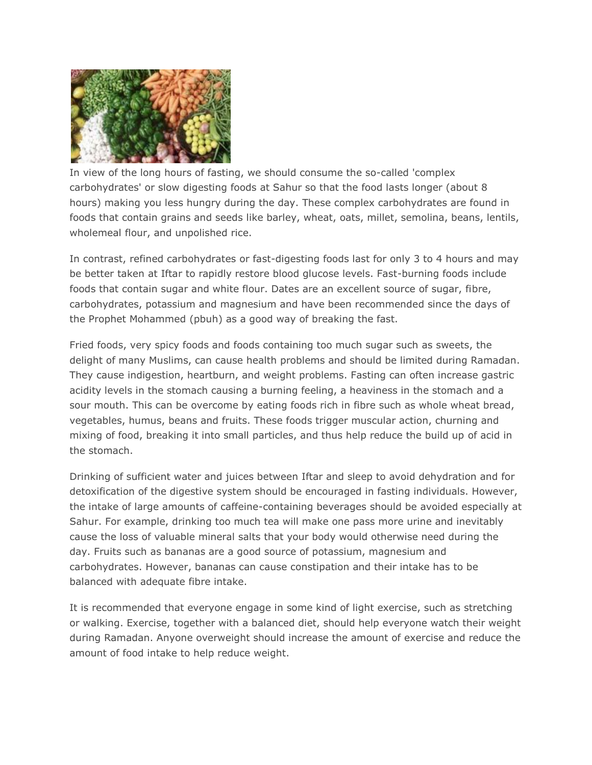

In view of the long hours of fasting, we should consume the so-called 'complex carbohydrates' or slow digesting foods at Sahur so that the food lasts longer (about 8 hours) making you less hungry during the day. These complex carbohydrates are found in foods that contain grains and seeds like barley, wheat, oats, millet, semolina, beans, lentils, wholemeal flour, and unpolished rice.

In contrast, refined carbohydrates or fast-digesting foods last for only 3 to 4 hours and may be better taken at Iftar to rapidly restore blood glucose levels. Fast-burning foods include foods that contain sugar and white flour. Dates are an excellent source of sugar, fibre, carbohydrates, potassium and magnesium and have been recommended since the days of the Prophet Mohammed (pbuh) as a good way of breaking the fast.

Fried foods, very spicy foods and foods containing too much sugar such as sweets, the delight of many Muslims, can cause health problems and should be limited during Ramadan. They cause indigestion, heartburn, and weight problems. Fasting can often increase gastric acidity levels in the stomach causing a burning feeling, a heaviness in the stomach and a sour mouth. This can be overcome by eating foods rich in fibre such as whole wheat bread, vegetables, humus, beans and fruits. These foods trigger muscular action, churning and mixing of food, breaking it into small particles, and thus help reduce the build up of acid in the stomach.

Drinking of sufficient water and juices between Iftar and sleep to avoid dehydration and for detoxification of the digestive system should be encouraged in fasting individuals. However, the intake of large amounts of caffeine-containing beverages should be avoided especially at Sahur. For example, drinking too much tea will make one pass more urine and inevitably cause the loss of valuable mineral salts that your body would otherwise need during the day. Fruits such as bananas are a good source of potassium, magnesium and carbohydrates. However, bananas can cause constipation and their intake has to be balanced with adequate fibre intake.

It is recommended that everyone engage in some kind of light exercise, such as stretching or walking. Exercise, together with a balanced diet, should help everyone watch their weight during Ramadan. Anyone overweight should increase the amount of exercise and reduce the amount of food intake to help reduce weight.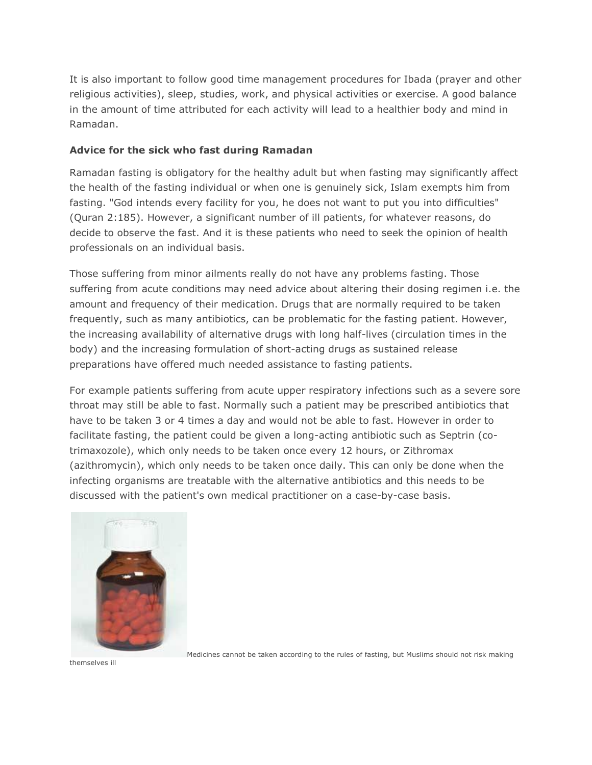It is also important to follow good time management procedures for Ibada (prayer and other religious activities), sleep, studies, work, and physical activities or exercise. A good balance in the amount of time attributed for each activity will lead to a healthier body and mind in Ramadan.

## **Advice for the sick who fast during Ramadan**

Ramadan fasting is obligatory for the healthy adult but when fasting may significantly affect the health of the fasting individual or when one is genuinely sick, Islam exempts him from fasting. "God intends every facility for you, he does not want to put you into difficulties" (Quran 2:185). However, a significant number of ill patients, for whatever reasons, do decide to observe the fast. And it is these patients who need to seek the opinion of health professionals on an individual basis.

Those suffering from minor ailments really do not have any problems fasting. Those suffering from acute conditions may need advice about altering their dosing regimen i.e. the amount and frequency of their medication. Drugs that are normally required to be taken frequently, such as many antibiotics, can be problematic for the fasting patient. However, the increasing availability of alternative drugs with long half-lives (circulation times in the body) and the increasing formulation of short-acting drugs as sustained release preparations have offered much needed assistance to fasting patients.

For example patients suffering from acute upper respiratory infections such as a severe sore throat may still be able to fast. Normally such a patient may be prescribed antibiotics that have to be taken 3 or 4 times a day and would not be able to fast. However in order to facilitate fasting, the patient could be given a long-acting antibiotic such as Septrin (cotrimaxozole), which only needs to be taken once every 12 hours, or Zithromax (azithromycin), which only needs to be taken once daily. This can only be done when the infecting organisms are treatable with the alternative antibiotics and this needs to be discussed with the patient's own medical practitioner on a case-by-case basis.



Medicines cannot be taken according to the rules of fasting, but Muslims should not risk making

themselves ill